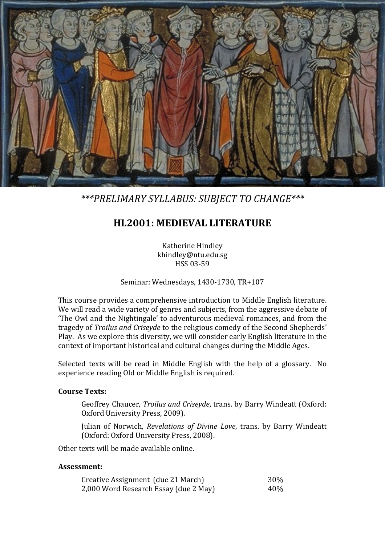

*\*\*\*PRELIMARY SYLLABUS: SUBJECT TO CHANGE\*\*\**

# **HL2001: MEDIEVAL LITERATURE**

Katherine Hindley khindley@ntu.edu.sg HSS 03-59

Seminar: Wednesdays, 1430-1730, TR+107

This course provides a comprehensive introduction to Middle English literature. We will read a wide variety of genres and subjects, from the aggressive debate of 'The Owl and the Nightingale' to adventurous medieval romances, and from the tragedy of *Troilus and Criseyde* to the religious comedy of the Second Shepherds' Play. As we explore this diversity, we will consider early English literature in the context of important historical and cultural changes during the Middle Ages.

Selected texts will be read in Middle English with the help of a glossary. No experience reading Old or Middle English is required.

### **Course Texts:**

Geoffrey Chaucer, *Troilus and Criseyde*, trans. by Barry Windeatt (Oxford: Oxford University Press, 2009).

Julian of Norwich, *Revelations of Divine Love*, trans. by Barry Windeatt (Oxford: Oxford University Press, 2008).

Other texts will be made available online.

#### **Assessment:**

| Creative Assignment (due 21 March)    | 30% |
|---------------------------------------|-----|
| 2,000 Word Research Essay (due 2 May) | 40% |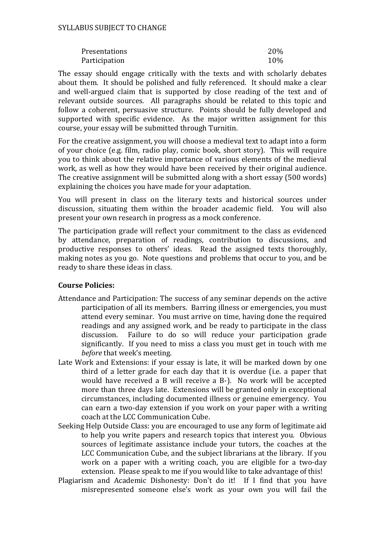| Presentations | 20% |
|---------------|-----|
| Participation | 10% |

The essay should engage critically with the texts and with scholarly debates about them. It should be polished and fully referenced. It should make a clear and well-argued claim that is supported by close reading of the text and of relevant outside sources. All paragraphs should be related to this topic and follow a coherent, persuasive structure. Points should be fully developed and supported with specific evidence. As the major written assignment for this course, your essay will be submitted through Turnitin.

For the creative assignment, you will choose a medieval text to adapt into a form of your choice (e.g. film, radio play, comic book, short story). This will require you to think about the relative importance of various elements of the medieval work, as well as how they would have been received by their original audience. The creative assignment will be submitted along with a short essay (500 words) explaining the choices you have made for your adaptation.

You will present in class on the literary texts and historical sources under discussion, situating them within the broader academic field. You will also present your own research in progress as a mock conference.

The participation grade will reflect your commitment to the class as evidenced by attendance, preparation of readings, contribution to discussions, and productive responses to others' ideas. Read the assigned texts thoroughly, making notes as you go. Note questions and problems that occur to you, and be ready to share these ideas in class.

### **Course Policies:**

- Attendance and Participation: The success of any seminar depends on the active participation of all its members. Barring illness or emergencies, you must attend every seminar. You must arrive on time, having done the required readings and any assigned work, and be ready to participate in the class discussion. Failure to do so will reduce your participation grade Failure to do so will reduce your participation grade significantly. If you need to miss a class you must get in touch with me *before* that week's meeting.
- Late Work and Extensions: if your essay is late, it will be marked down by one third of a letter grade for each day that it is overdue (i.e. a paper that would have received a B will receive a B-). No work will be accepted more than three days late. Extensions will be granted only in exceptional circumstances, including documented illness or genuine emergency. You can earn a two-day extension if you work on your paper with a writing coach at the LCC Communication Cube.
- Seeking Help Outside Class: you are encouraged to use any form of legitimate aid to help you write papers and research topics that interest you. Obvious sources of legitimate assistance include your tutors, the coaches at the LCC Communication Cube, and the subject librarians at the library. If you work on a paper with a writing coach, you are eligible for a two-day extension. Please speak to me if you would like to take advantage of this!
- Plagiarism and Academic Dishonesty: Don't do it! If I find that you have misrepresented someone else's work as your own you will fail the